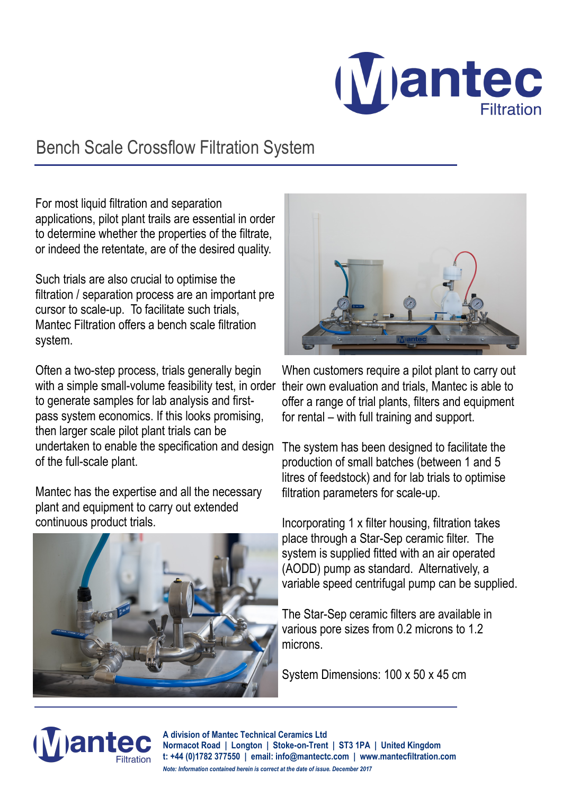

## Bench Scale Crossflow Filtration System

For most liquid filtration and separation applications, pilot plant trails are essential in order to determine whether the properties of the filtrate, or indeed the retentate, are of the desired quality.

Such trials are also crucial to optimise the filtration / separation process are an important pre cursor to scale-up. To facilitate such trials, Mantec Filtration offers a bench scale filtration system.

Often a two-step process, trials generally begin with a simple small-volume feasibility test, in order their own evaluation and trials, Mantec is able to to generate samples for lab analysis and firstpass system economics. If this looks promising, then larger scale pilot plant trials can be undertaken to enable the specification and design of the full-scale plant.

Mantec has the expertise and all the necessary plant and equipment to carry out extended continuous product trials.





When customers require a pilot plant to carry out offer a range of trial plants, filters and equipment for rental – with full training and support.

The system has been designed to facilitate the production of small batches (between 1 and 5 litres of feedstock) and for lab trials to optimise filtration parameters for scale-up.

Incorporating 1 x filter housing, filtration takes place through a Star-Sep ceramic filter. The system is supplied fitted with an air operated (AODD) pump as standard. Alternatively, a variable speed centrifugal pump can be supplied.

The Star-Sep ceramic filters are available in various pore sizes from 0.2 microns to 1.2 microns.

System Dimensions: 100 x 50 x 45 cm